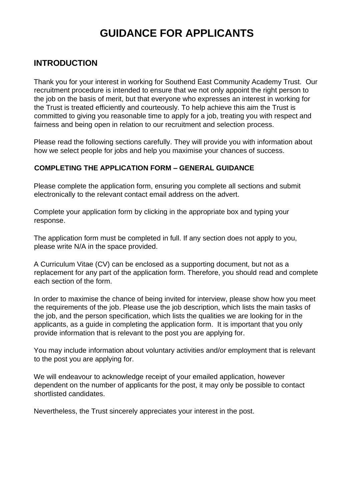# **GUIDANCE FOR APPLICANTS**

# **INTRODUCTION**

Thank you for your interest in working for Southend East Community Academy Trust. Our recruitment procedure is intended to ensure that we not only appoint the right person to the job on the basis of merit, but that everyone who expresses an interest in working for the Trust is treated efficiently and courteously. To help achieve this aim the Trust is committed to giving you reasonable time to apply for a job, treating you with respect and fairness and being open in relation to our recruitment and selection process.

Please read the following sections carefully. They will provide you with information about how we select people for jobs and help you maximise your chances of success.

### **COMPLETING THE APPLICATION FORM – GENERAL GUIDANCE**

Please complete the application form, ensuring you complete all sections and submit electronically to the relevant contact email address on the advert.

Complete your application form by clicking in the appropriate box and typing your response.

The application form must be completed in full. If any section does not apply to you, please write N/A in the space provided.

A Curriculum Vitae (CV) can be enclosed as a supporting document, but not as a replacement for any part of the application form. Therefore, you should read and complete each section of the form.

In order to maximise the chance of being invited for interview, please show how you meet the requirements of the job. Please use the job description, which lists the main tasks of the job, and the person specification, which lists the qualities we are looking for in the applicants, as a guide in completing the application form. It is important that you only provide information that is relevant to the post you are applying for.

You may include information about voluntary activities and/or employment that is relevant to the post you are applying for.

We will endeavour to acknowledge receipt of your emailed application, however dependent on the number of applicants for the post, it may only be possible to contact shortlisted candidates.

Nevertheless, the Trust sincerely appreciates your interest in the post.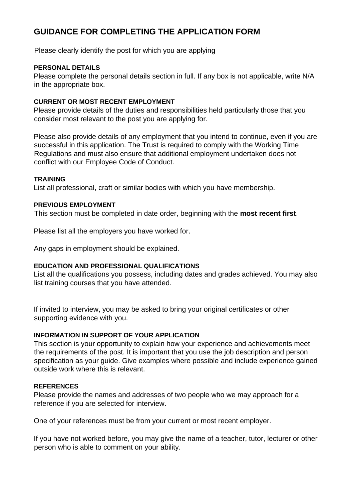# **GUIDANCE FOR COMPLETING THE APPLICATION FORM**

Please clearly identify the post for which you are applying

### **PERSONAL DETAILS**

Please complete the personal details section in full. If any box is not applicable, write N/A in the appropriate box.

### **CURRENT OR MOST RECENT EMPLOYMENT**

Please provide details of the duties and responsibilities held particularly those that you consider most relevant to the post you are applying for.

Please also provide details of any employment that you intend to continue, even if you are successful in this application. The Trust is required to comply with the Working Time Regulations and must also ensure that additional employment undertaken does not conflict with our Employee Code of Conduct.

#### **TRAINING**

List all professional, craft or similar bodies with which you have membership.

#### **PREVIOUS EMPLOYMENT**

This section must be completed in date order, beginning with the **most recent first**.

Please list all the employers you have worked for.

Any gaps in employment should be explained.

## **EDUCATION AND PROFESSIONAL QUALIFICATIONS**

List all the qualifications you possess, including dates and grades achieved. You may also list training courses that you have attended.

If invited to interview, you may be asked to bring your original certificates or other supporting evidence with you.

### **INFORMATION IN SUPPORT OF YOUR APPLICATION**

This section is your opportunity to explain how your experience and achievements meet the requirements of the post. It is important that you use the job description and person specification as your guide. Give examples where possible and include experience gained outside work where this is relevant.

#### **REFERENCES**

Please provide the names and addresses of two people who we may approach for a reference if you are selected for interview.

One of your references must be from your current or most recent employer.

If you have not worked before, you may give the name of a teacher, tutor, lecturer or other person who is able to comment on your ability.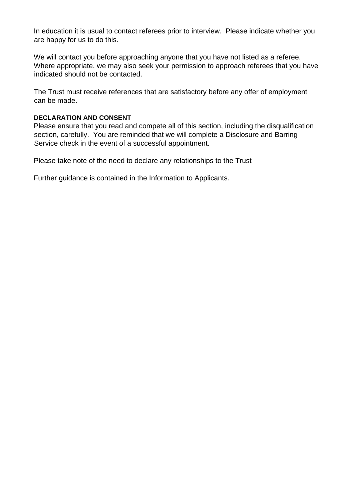In education it is usual to contact referees prior to interview. Please indicate whether you are happy for us to do this.

We will contact you before approaching anyone that you have not listed as a referee. Where appropriate, we may also seek your permission to approach referees that you have indicated should not be contacted.

The Trust must receive references that are satisfactory before any offer of employment can be made.

### **DECLARATION AND CONSENT**

Please ensure that you read and compete all of this section, including the disqualification section, carefully. You are reminded that we will complete a Disclosure and Barring Service check in the event of a successful appointment.

Please take note of the need to declare any relationships to the Trust

Further guidance is contained in the Information to Applicants.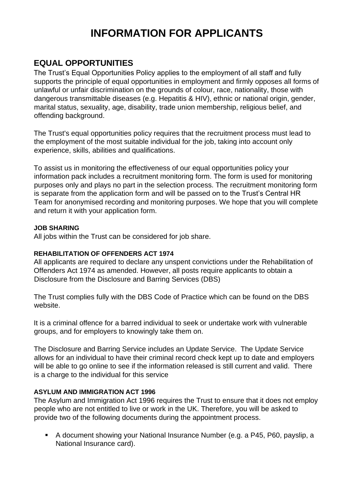# **INFORMATION FOR APPLICANTS**

# **EQUAL OPPORTUNITIES**

The Trust's Equal Opportunities Policy applies to the employment of all staff and fully supports the principle of equal opportunities in employment and firmly opposes all forms of unlawful or unfair discrimination on the grounds of colour, race, nationality, those with dangerous transmittable diseases (e.g. Hepatitis & HIV), ethnic or national origin, gender, marital status, sexuality, age, disability, trade union membership, religious belief, and offending background.

The Trust's equal opportunities policy requires that the recruitment process must lead to the employment of the most suitable individual for the job, taking into account only experience, skills, abilities and qualifications.

To assist us in monitoring the effectiveness of our equal opportunities policy your information pack includes a recruitment monitoring form. The form is used for monitoring purposes only and plays no part in the selection process. The recruitment monitoring form is separate from the application form and will be passed on to the Trust's Central HR Team for anonymised recording and monitoring purposes. We hope that you will complete and return it with your application form.

### **JOB SHARING**

All jobs within the Trust can be considered for job share.

## **REHABILITATION OF OFFENDERS ACT 1974**

All applicants are required to declare any unspent convictions under the Rehabilitation of Offenders Act 1974 as amended. However, all posts require applicants to obtain a Disclosure from the Disclosure and Barring Services (DBS)

The Trust complies fully with the DBS Code of Practice which can be found on the DBS website.

It is a criminal offence for a barred individual to seek or undertake work with vulnerable groups, and for employers to knowingly take them on.

The Disclosure and Barring Service includes an Update Service. The Update Service allows for an individual to have their criminal record check kept up to date and employers will be able to go online to see if the information released is still current and valid. There is a charge to the individual for this service

## **ASYLUM AND IMMIGRATION ACT 1996**

The Asylum and Immigration Act 1996 requires the Trust to ensure that it does not employ people who are not entitled to live or work in the UK. Therefore, you will be asked to provide two of the following documents during the appointment process.

■ A document showing your National Insurance Number (e.g. a P45, P60, payslip, a National Insurance card).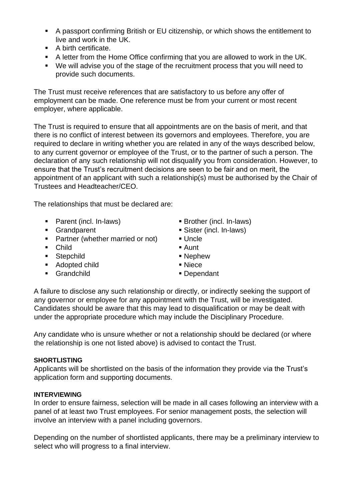- A passport confirming British or EU citizenship, or which shows the entitlement to live and work in the UK.
- A birth certificate.
- A letter from the Home Office confirming that you are allowed to work in the UK.
- We will advise you of the stage of the recruitment process that you will need to provide such documents.

The Trust must receive references that are satisfactory to us before any offer of employment can be made. One reference must be from your current or most recent employer, where applicable.

The Trust is required to ensure that all appointments are on the basis of merit, and that there is no conflict of interest between its governors and employees. Therefore, you are required to declare in writing whether you are related in any of the ways described below, to any current governor or employee of the Trust, or to the partner of such a person. The declaration of any such relationship will not disqualify you from consideration. However, to ensure that the Trust's recruitment decisions are seen to be fair and on merit, the appointment of an applicant with such a relationship(s) must be authorised by the Chair of Trustees and Headteacher/CEO.

The relationships that must be declared are:

- Parent (incl. In-laws) Brother (incl. In-laws)
- 
- Partner (whether married or not) Uncle
- Child Aunt
- Stepchild Nephew
- Adopted child Niece
- Grandchild Dependant
- 
- Grandparent Sister (incl. In-laws)
	-
	-
	-
	-
	-

A failure to disclose any such relationship or directly, or indirectly seeking the support of any governor or employee for any appointment with the Trust, will be investigated. Candidates should be aware that this may lead to disqualification or may be dealt with under the appropriate procedure which may include the Disciplinary Procedure.

Any candidate who is unsure whether or not a relationship should be declared (or where the relationship is one not listed above) is advised to contact the Trust.

### **SHORTLISTING**

Applicants will be shortlisted on the basis of the information they provide via the Trust's application form and supporting documents.

### **INTERVIEWING**

In order to ensure fairness, selection will be made in all cases following an interview with a panel of at least two Trust employees. For senior management posts, the selection will involve an interview with a panel including governors.

Depending on the number of shortlisted applicants, there may be a preliminary interview to select who will progress to a final interview.